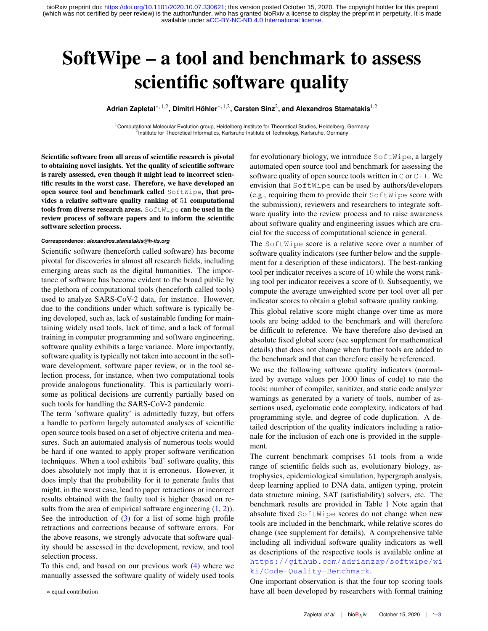available under [aCC-BY-NC-ND 4.0 International license.](http://creativecommons.org/licenses/by-nc-nd/4.0/) (which was not certified by peer review) is the author/funder, who has granted bioRxiv a license to display the preprint in perpetuity. It is made bioRxiv preprint doi: [https://doi.org/10.1101/2020.10.07.330621;](https://doi.org/10.1101/2020.10.07.330621) this version posted October 15, 2020. The copyright holder for this preprint

# SoftWipe – a tool and benchmark to assess scientific software quality

**Adrian Zapletal**∗*,* 1,2**, Dimitri Höhler**∗*,*1,2**, Carsten Sinz**<sup>2</sup> **, and Alexandros Stamatakis**1,2

<sup>1</sup> Computational Molecular Evolution group, Heidelberg Institute for Theoretical Studies, Heidelberg, Germany <sup>2</sup> Institute for Theoretical Informatics, Karlsruhe Institute of Technology, Karlsruhe, Germany

Scientific software from all areas of scientific research is pivotal to obtaining novel insights. Yet the quality of scientific software is rarely assessed, even though it might lead to incorrect scientific results in the worst case. Therefore, we have developed an open source tool and benchmark called SoftWipe, that provides a relative software quality ranking of 51 computational tools from diverse research areas. SoftWipe can be used in the review process of software papers and to inform the scientific software selection process.

#### **Correspondence:** *alexandros.stamatakis@h-its.org*

Scientific software (henceforth called software) has become pivotal for discoveries in almost all research fields, including emerging areas such as the digital humanities. The importance of software has become evident to the broad public by the plethora of computational tools (henceforth called tools) used to analyze SARS-CoV-2 data, for instance. However, due to the conditions under which software is typically being developed, such as, lack of sustainable funding for maintaining widely used tools, lack of time, and a lack of formal training in computer programming and software engineering, software quality exhibits a large variance. More importantly, software quality is typically not taken into account in the software development, software paper review, or in the tool selection process, for instance, when two computational tools provide analogous functionality. This is particularly worrisome as political decisions are currently partially based on such tools for handling the SARS-CoV-2 pandemic.

The term 'software quality' is admittedly fuzzy, but offers a handle to perform largely automated analyses of scientific open source tools based on a set of objective criteria and measures. Such an automated analysis of numerous tools would be hard if one wanted to apply proper software verification techniques. When a tool exhibits 'bad' software quality, this does absolutely not imply that it is erroneous. However, it does imply that the probability for it to generate faults that might, in the worst case, lead to paper retractions or incorrect results obtained with the faulty tool is higher (based on results from the area of empirical software engineering  $(1, 2)$  $(1, 2)$  $(1, 2)$ ). See the introduction of  $(3)$  for a list of some high profile retractions and corrections because of software errors. For the above reasons, we strongly advocate that software quality should be assessed in the development, review, and tool selection process.

To this end, and based on our previous work [\(4\)](#page-2-3) where we manually assessed the software quality of widely used tools

for evolutionary biology, we introduce SoftWipe, a largely automated open source tool and benchmark for assessing the software quality of open source tools written in  $\text{C}$  or  $\text{C++}$ . We envision that SoftWipe can be used by authors/developers (e.g., requiring them to provide their SoftWipe score with the submission), reviewers and researchers to integrate software quality into the review process and to raise awareness about software quality and engineering issues which are crucial for the success of computational science in general.

The SoftWipe score is a relative score over a number of software quality indicators (see further below and the supplement for a description of these indicators). The best-ranking tool per indicator receives a score of 10 while the worst ranking tool per indicator receives a score of 0. Subsequently, we compute the average unweighted score per tool over all per indicator scores to obtain a global software quality ranking.

This global relative score might change over time as more tools are being added to the benchmark and will therefore be difficult to reference. We have therefore also devised an absolute fixed global score (see supplement for mathematical details) that does not change when further tools are added to the benchmark and that can therefore easily be referenced.

We use the following software quality indicators (normalized by average values per 1000 lines of code) to rate the tools: number of compiler, sanitizer, and static code analyzer warnings as generated by a variety of tools, number of assertions used, cyclomatic code complexity, indicators of bad programming style, and degree of code duplication. A detailed description of the quality indicators including a rationale for the inclusion of each one is provided in the supplement.

The current benchmark comprises 51 tools from a wide range of scientific fields such as, evolutionary biology, astrophysics, epidemiological simulation, hypergraph analysis, deep learning applied to DNA data, antigen typing, protein data structure mining, SAT (satisfiability) solvers, etc. The benchmark results are provided in Table [1](#page-1-0) Note again that absolute fixed SoftWipe scores do not change when new tools are included in the benchmark, while relative scores do change (see supplement for details). A comprehensive table including all individual software quality indicators as well as descriptions of the respective tools is available online at [https://github.com/adrianzap/softwipe/wi](https://github.com/adrianzap/softwipe/wiki/Code-Quality-Benchmark) [ki/Code-Quality-Benchmark](https://github.com/adrianzap/softwipe/wiki/Code-Quality-Benchmark).

One important observation is that the four top scoring tools have all been developed by researchers with formal training

<sup>∗</sup> equal contribution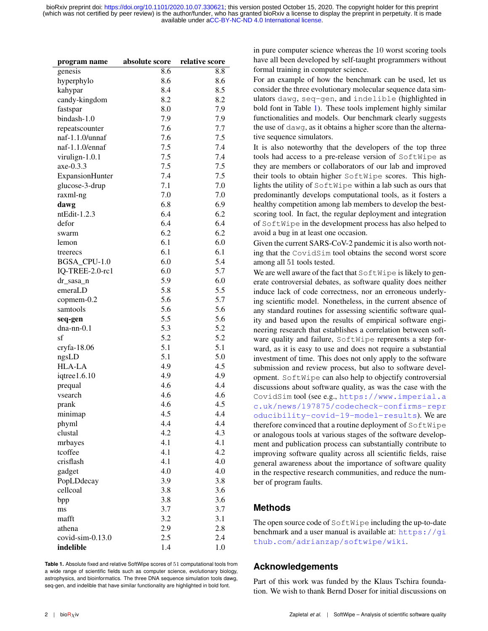available under [aCC-BY-NC-ND 4.0 International license.](http://creativecommons.org/licenses/by-nc-nd/4.0/) (which was not certified by peer review) is the author/funder, who has granted bioRxiv a license to display the preprint in perpetuity. It is made bioRxiv preprint doi: [https://doi.org/10.1101/2020.10.07.330621;](https://doi.org/10.1101/2020.10.07.330621) this version posted October 15, 2020. The copyright holder for this preprint

<span id="page-1-0"></span>

| program name     | absolute score | relative score |
|------------------|----------------|----------------|
| genesis          | 8.6            | 8.8            |
| hyperphylo       | 8.6            | 8.6            |
| kahypar          | 8.4            | 8.5            |
| candy-kingdom    | 8.2            | 8.2            |
| fastspar         | 8.0            | 7.9            |
| bindash-1.0      | 7.9            | 7.9            |
| repeatscounter   | 7.6            | 7.7            |
| naf-1.1.0/unnaf  | 7.6            | 7.5            |
| naf-1.1.0/ennaf  | 7.5            | 7.4            |
| virulign-1.0.1   | 7.5            | 7.4            |
| axe-0.3.3        | 7.5            | 7.5            |
|                  | 7.4            | 7.5            |
| ExpansionHunter  | 7.1            |                |
| glucose-3-drup   | 7.0            | 7.0            |
| raxml-ng         |                | 7.0            |
| dawg             | 6.8            | 6.9            |
| ntEdit-1.2.3     | 6.4            | 6.2            |
| defor            | 6.4            | 6.4            |
| swarm            | 6.2            | 6.2            |
| lemon            | 6.1            | 6.0            |
| treerecs         | 6.1            | 6.1            |
| BGSA_CPU-1.0     | 6.0            | 5.4            |
| IQ-TREE-2.0-rc1  | 6.0            | 5.7            |
| dr_sasa_n        | 5.9            | 6.0            |
| emeraLD          | 5.8            | 5.5            |
| copmem-0.2       | 5.6            | 5.7            |
| samtools         | 5.6            | 5.6            |
| seq-gen          | 5.5            | 5.6            |
| $dna-nn-0.1$     | 5.3            | 5.2            |
| sf               | 5.2            | 5.2            |
| cryfa-18.06      | 5.1            | 5.1            |
| ngsLD            | 5.1            | 5.0            |
| <b>HLA-LA</b>    | 4.9            | 4.5            |
| iqtree1.6.10     | 4.9            | 4.9            |
| prequal          | 4.6            | 4.4            |
| vsearch          | 4.6            | 4.6            |
| prank            | 4.6            | 4.5            |
| minimap          | 4.5            | 4.4            |
| phyml            | 4.4            | 4.4            |
| clustal          | 4.2            | 4.3            |
| mrbayes          | 4.1            | 4.1            |
| tcoffee          | 4.1            | 4.2            |
| crisflash        | 4.1            |                |
|                  |                | 4.0            |
| gadget           | 4.0            | 4.0            |
| PopLDdecay       | 3.9            | 3.8            |
| cellcoal         | 3.8            | 3.6            |
| bpp              | 3.8            | 3.6            |
| ms               | 3.7            | 3.7            |
| mafft            | 3.2            | 3.1            |
| athena           | 2.9            | 2.8            |
| covid-sim-0.13.0 | 2.5            | 2.4            |
| indelible        | 1.4            | 1.0            |

**Table 1.** Absolute fixed and relative SoftWipe scores of 51 computational tools from a wide range of scientific fields such as computer science, evolutionary biology, astrophysics, and bioinformatics. The three DNA sequence simulation tools dawg, seq-gen, and indelible that have similar functionality are highlighted in bold font.

in pure computer science whereas the 10 worst scoring tools have all been developed by self-taught programmers without formal training in computer science.

For an example of how the benchmark can be used, let us consider the three evolutionary molecular sequence data simulators dawg, seq-gen, and indelible (highlighted in bold font in Table [1\)](#page-1-0). These tools implement highly similar functionalities and models. Our benchmark clearly suggests the use of dawg, as it obtains a higher score than the alternative sequence simulators.

It is also noteworthy that the developers of the top three tools had access to a pre-release version of SoftWipe as they are members or collaborators of our lab and improved their tools to obtain higher SoftWipe scores. This highlights the utility of SoftWipe within a lab such as ours that predominantly develops computational tools, as it fosters a healthy competition among lab members to develop the bestscoring tool. In fact, the regular deployment and integration of SoftWipe in the development process has also helped to avoid a bug in at least one occasion.

Given the current SARS-CoV-2 pandemic it is also worth noting that the CovidSim tool obtains the second worst score among all 51 tools tested.

We are well aware of the fact that  $\text{SoftWipe}$  is likely to generate controversial debates, as software quality does neither induce lack of code correctness, nor an erroneous underlying scientific model. Nonetheless, in the current absence of any standard routines for assessing scientific software quality and based upon the results of empirical software engineering research that establishes a correlation between software quality and failure, SoftWipe represents a step forward, as it is easy to use and does not require a substantial investment of time. This does not only apply to the software submission and review process, but also to software development. SoftWipe can also help to objectify controversial discussions about software quality, as was the case with the CovidSim tool (see e.g., [https://www.imperial.a](https://www.imperial.ac.uk/news/197875/codecheck-confirms-reproducibility-covid-19-model-results) [c.uk/news/197875/codecheck-confirms-repr](https://www.imperial.ac.uk/news/197875/codecheck-confirms-reproducibility-covid-19-model-results) [oducibility-covid-19-model-results](https://www.imperial.ac.uk/news/197875/codecheck-confirms-reproducibility-covid-19-model-results)). We are therefore convinced that a routine deployment of SoftWipe or analogous tools at various stages of the software development and publication process can substantially contribute to improving software quality across all scientific fields, raise general awareness about the importance of software quality in the respective research communities, and reduce the number of program faults.

### **Methods**

The open source code of SoftWipe including the up-to-date benchmark and a user manual is available at:  $https://gi$ [thub.com/adrianzap/softwipe/wiki](https://github.com/adrianzap/softwipe/wiki).

### **Acknowledgements**

Part of this work was funded by the Klaus Tschira foundation. We wish to thank Bernd Doser for initial discussions on